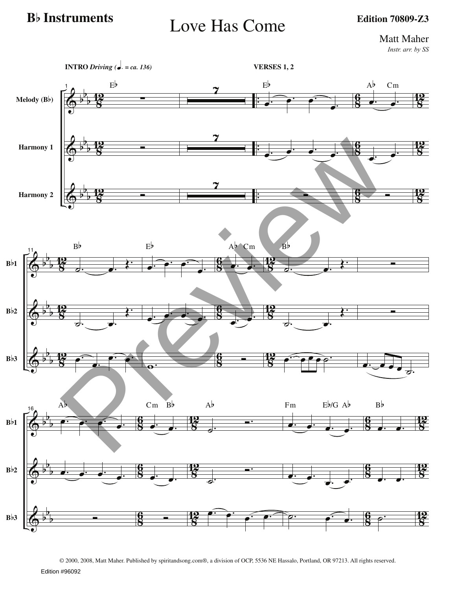## Bb Instruments **Love Has Come**

**Edition 70809-Z3**

## Matt Maher

*Instr. arr. by SS*



Edition #96092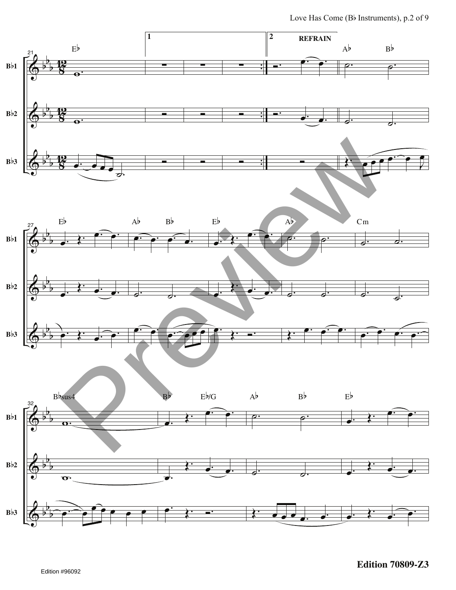Love Has Come (Bb Instruments), p.2 of 9

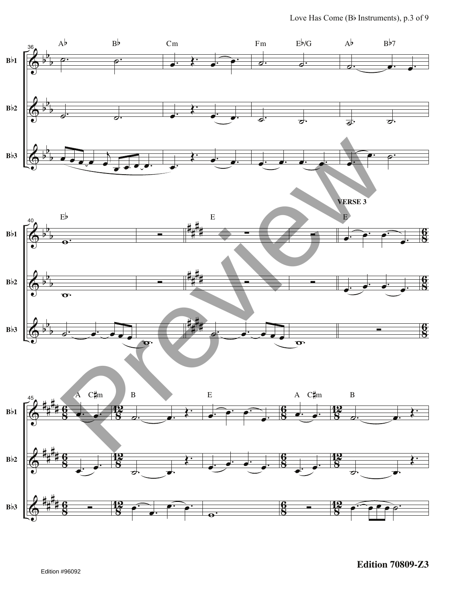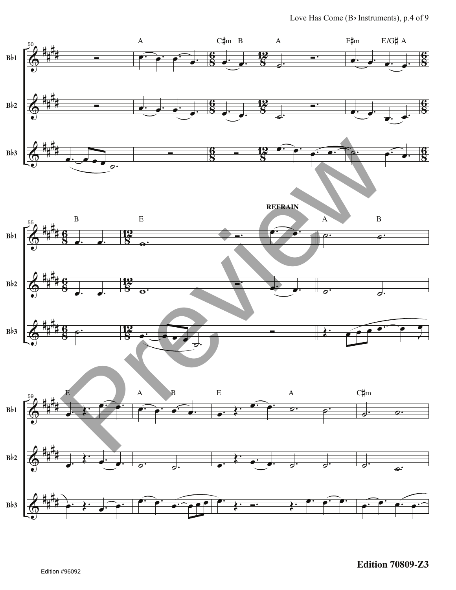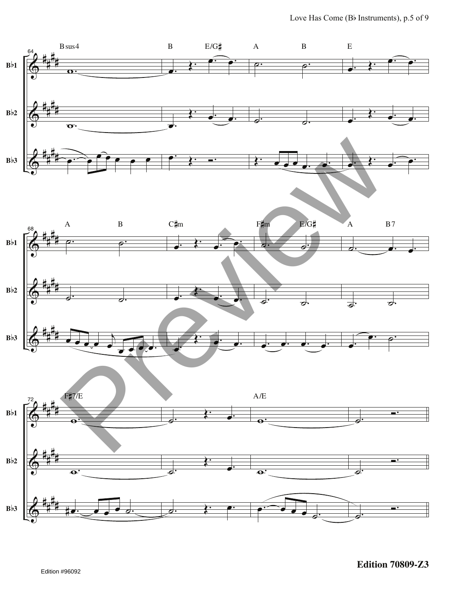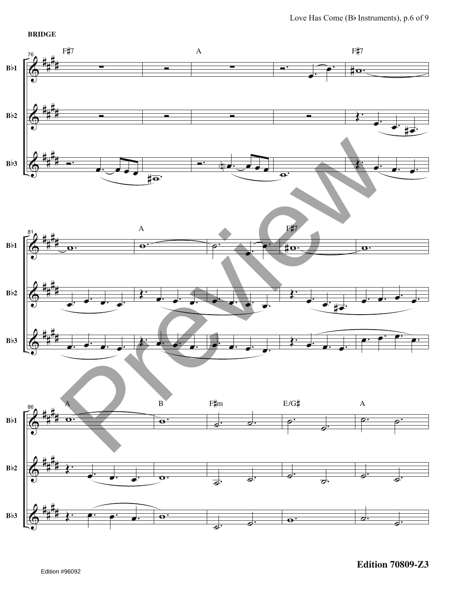

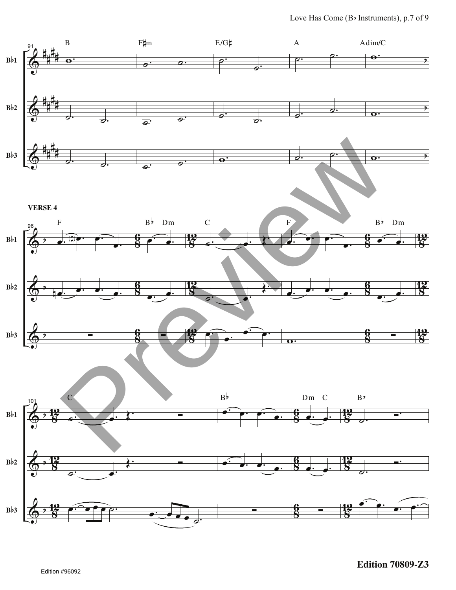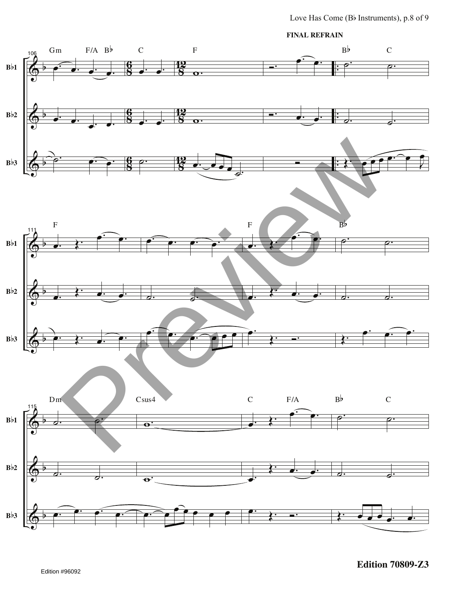